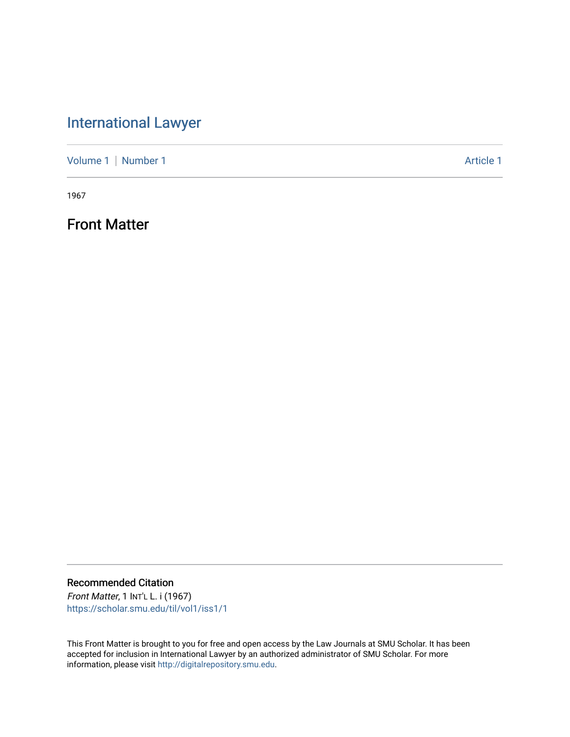## [International Lawyer](https://scholar.smu.edu/til)

[Volume 1](https://scholar.smu.edu/til/vol1) | [Number 1](https://scholar.smu.edu/til/vol1/iss1) Article 1

1967

Front Matter

Recommended Citation Front Matter, 1 INT'L L. i (1967)

[https://scholar.smu.edu/til/vol1/iss1/1](https://scholar.smu.edu/til/vol1/iss1/1?utm_source=scholar.smu.edu%2Ftil%2Fvol1%2Fiss1%2F1&utm_medium=PDF&utm_campaign=PDFCoverPages) 

This Front Matter is brought to you for free and open access by the Law Journals at SMU Scholar. It has been accepted for inclusion in International Lawyer by an authorized administrator of SMU Scholar. For more information, please visit [http://digitalrepository.smu.edu](http://digitalrepository.smu.edu/).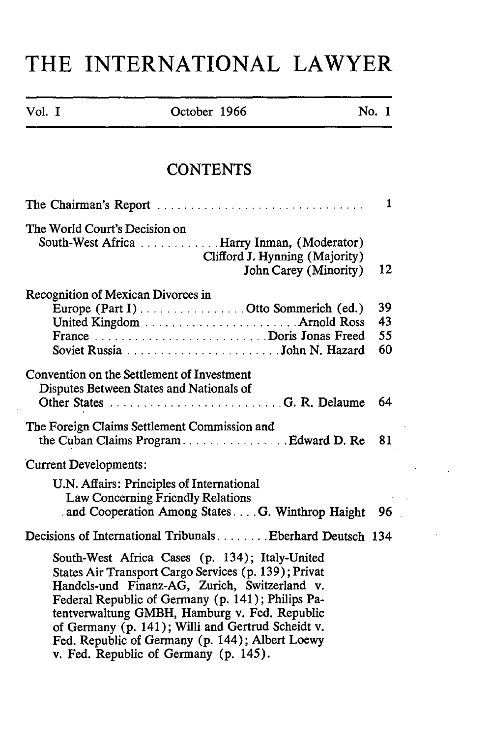## **THE INTERNATIONAL LAWYER**

| Vol. I | October 1966 | No. 1 |  |
|--------|--------------|-------|--|
|        |              |       |  |

## **CONTENTS**

| The Chairman's Report                                                                                                                                                                                                                                                                                                                                                                                          | 1  |
|----------------------------------------------------------------------------------------------------------------------------------------------------------------------------------------------------------------------------------------------------------------------------------------------------------------------------------------------------------------------------------------------------------------|----|
| The World Court's Decision on<br>South-West Africa  Harry Inman, (Moderator)<br>Clifford J. Hynning (Majority)                                                                                                                                                                                                                                                                                                 |    |
| John Carey (Minority)                                                                                                                                                                                                                                                                                                                                                                                          | 12 |
| Recognition of Mexican Divorces in                                                                                                                                                                                                                                                                                                                                                                             |    |
| Europe (Part I) Otto Sommerich (ed.)                                                                                                                                                                                                                                                                                                                                                                           | 39 |
|                                                                                                                                                                                                                                                                                                                                                                                                                | 43 |
|                                                                                                                                                                                                                                                                                                                                                                                                                | 55 |
|                                                                                                                                                                                                                                                                                                                                                                                                                | 60 |
| Convention on the Settlement of Investment<br>Disputes Between States and Nationals of                                                                                                                                                                                                                                                                                                                         |    |
| Other States G. R. Delaume                                                                                                                                                                                                                                                                                                                                                                                     | 64 |
| The Foreign Claims Settlement Commission and<br>the Cuban Claims ProgramEdward D. Re                                                                                                                                                                                                                                                                                                                           | 81 |
| <b>Current Developments:</b>                                                                                                                                                                                                                                                                                                                                                                                   |    |
| U.N. Affairs: Principles of International<br>Law Concerning Friendly Relations<br>and Cooperation Among States G. Winthrop Haight                                                                                                                                                                                                                                                                              | 96 |
|                                                                                                                                                                                                                                                                                                                                                                                                                |    |
| Decisions of International TribunalsBberhard Deutsch 134                                                                                                                                                                                                                                                                                                                                                       |    |
| South-West Africa Cases (p. 134); Italy-United<br>States Air Transport Cargo Services (p. 139); Privat<br>Handels-und Finanz-AG, Zurich, Switzerland v.<br>Federal Republic of Germany (p. 141); Philips Pa-<br>tentverwaltung GMBH, Hamburg v. Fed. Republic<br>of Germany (p. 141); Willi and Gertrud Scheidt v.<br>Fed. Republic of Germany (p. 144); Albert Loewy<br>v. Fed. Republic of Germany (p. 145). |    |

 $\sim$  .